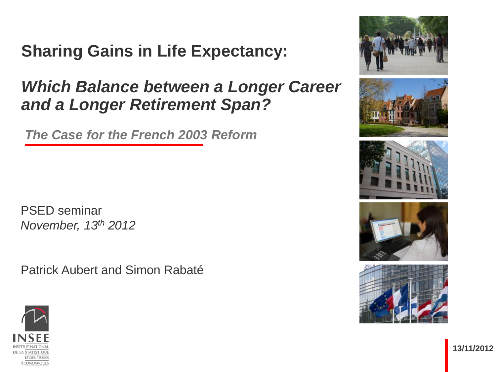## **Sharing Gains in Life Expectancy:**

#### *Which Balance between a Longer Career and a Longer Retirement Span?*

*The Case for the French 2003 Reform*

PSED seminar *November, 13th 2012*

Patrick Aubert and Simon Rabaté











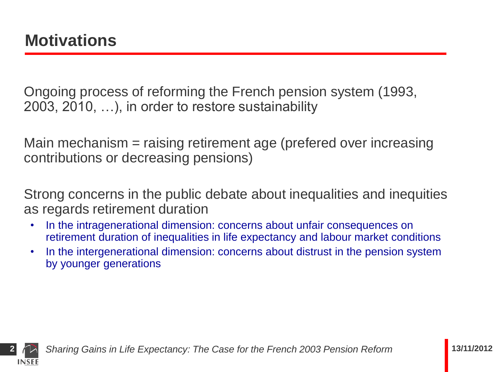Ongoing process of reforming the French pension system (1993, 2003, 2010, …), in order to restore sustainability

Main mechanism = raising retirement age (prefered over increasing contributions or decreasing pensions)

Strong concerns in the public debate about inequalities and inequities as regards retirement duration

- In the intragenerational dimension: concerns about unfair consequences on retirement duration of inequalities in life expectancy and labour market conditions
- In the intergenerational dimension: concerns about distrust in the pension system by younger generations

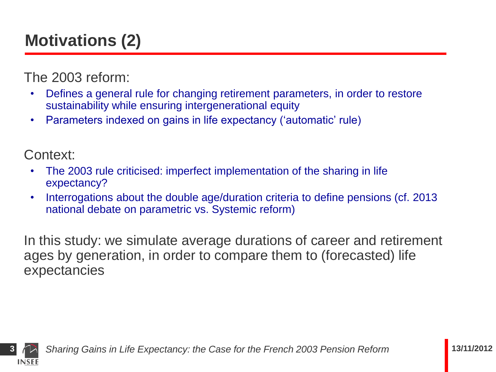# **Motivations (2)**

The 2003 reform:

- Defines a general rule for changing retirement parameters, in order to restore sustainability while ensuring intergenerational equity
- Parameters indexed on gains in life expectancy ('automatic' rule)

Context:

- The 2003 rule criticised: imperfect implementation of the sharing in life expectancy?
- Interrogations about the double age/duration criteria to define pensions (cf. 2013 national debate on parametric vs. Systemic reform)

In this study: we simulate average durations of career and retirement ages by generation, in order to compare them to (forecasted) life expectancies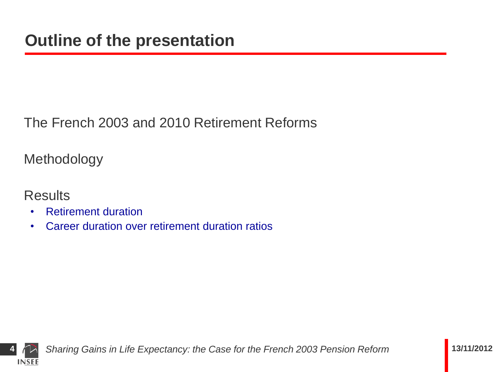The French 2003 and 2010 Retirement Reforms

Methodology

**Results** 

- Retirement duration
- Career duration over retirement duration ratios

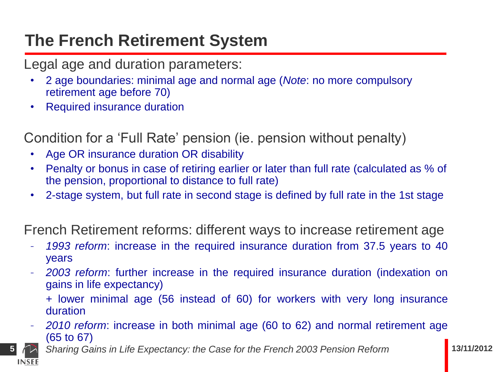## **The French Retirement System**

Legal age and duration parameters:

- 2 age boundaries: minimal age and normal age (*Note*: no more compulsory retirement age before 70)
- Required insurance duration

Condition for a 'Full Rate' pension (ie. pension without penalty)

- Age OR insurance duration OR disability
- Penalty or bonus in case of retiring earlier or later than full rate (calculated as % of the pension, proportional to distance to full rate)
- 2-stage system, but full rate in second stage is defined by full rate in the 1st stage

French Retirement reforms: different ways to increase retirement age

- *1993 reform*: increase in the required insurance duration from 37.5 years to 40 years
- *2003 reform*: further increase in the required insurance duration (indexation on gains in life expectancy)

+ lower minimal age (56 instead of 60) for workers with very long insurance duration

- *2010 reform*: increase in both minimal age (60 to 62) and normal retirement age (65 to 67)
	- **5** *Sharing Gains in Life Expectancy: the Case for the French 2003 Pension Reform* **13/11/2012**

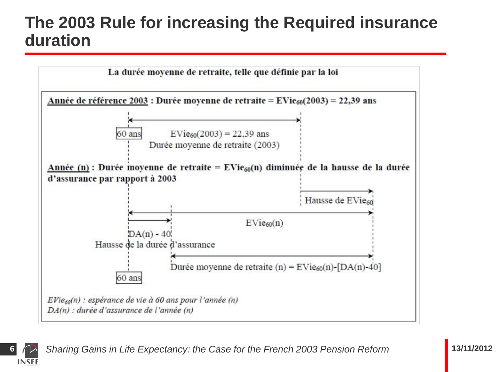#### **The 2003 Rule for increasing the Required insurance duration**



**INSEE**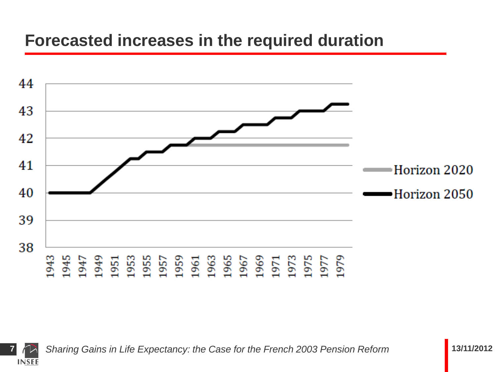#### **Forecasted increases in the required duration**



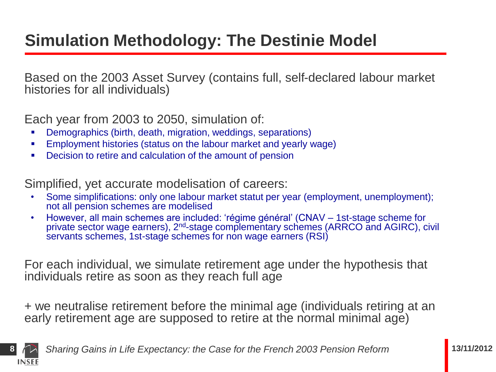## **Simulation Methodology: The Destinie Model**

Based on the 2003 Asset Survey (contains full, self-declared labour market histories for all individuals)

Each year from 2003 to 2050, simulation of:

- Demographics (birth, death, migration, weddings, separations)
- Employment histories (status on the labour market and yearly wage)
- Decision to retire and calculation of the amount of pension

Simplified, yet accurate modelisation of careers:

- Some simplifications: only one labour market statut per year (employment, unemployment); not all pension schemes are modelised
- However, all main schemes are included: 'régime général' (CNAV 1st-stage scheme for private sector wage earners), 2<sup>nd</sup>-stage complementary schemes (ARRCO and AGIRC), civil servants schemes, 1st-stage schemes for non wage earners (RSI)

For each individual, we simulate retirement age under the hypothesis that individuals retire as soon as they reach full age

+ we neutralise retirement before the minimal age (individuals retiring at an early retirement age are supposed to retire at the normal minimal age)

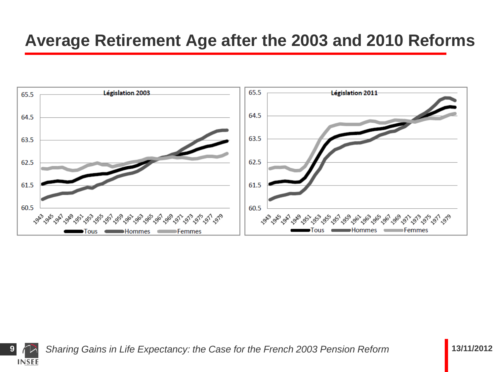#### **Average Retirement Age after the 2003 and 2010 Reforms**



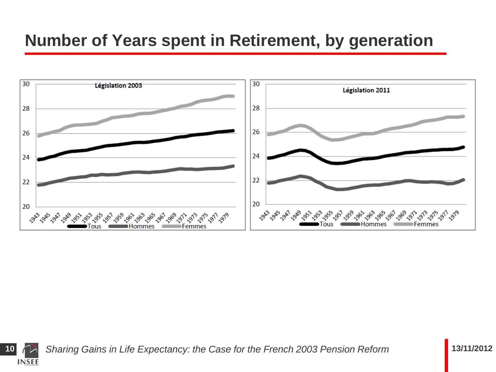### **Number of Years spent in Retirement, by generation**



**INSEE**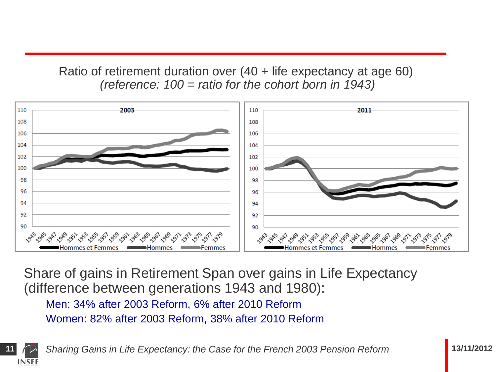#### Ratio of retirement duration over (40 + life expectancy at age 60) *(reference: 100 = ratio for the cohort born in 1943)*



Share of gains in Retirement Span over gains in Life Expectancy (difference between generations 1943 and 1980):

Men: 34% after 2003 Reform, 6% after 2010 Reform Women: 82% after 2003 Reform, 38% after 2010 Reform

**INSEE**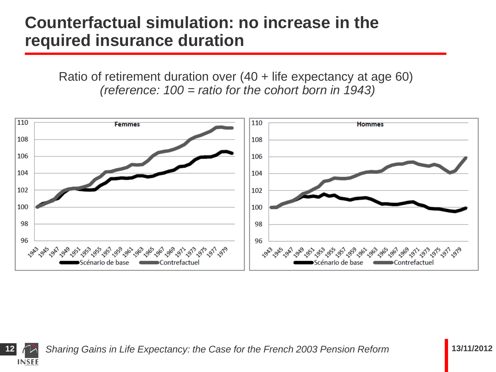#### **Counterfactual simulation: no increase in the required insurance duration**

Ratio of retirement duration over (40 + life expectancy at age 60) *(reference: 100 = ratio for the cohort born in 1943)*



**12** *Sharing Gains in Life Expectancy: the Case for the French 2003 Pension Reform* **13/11/2012**

**INSEE**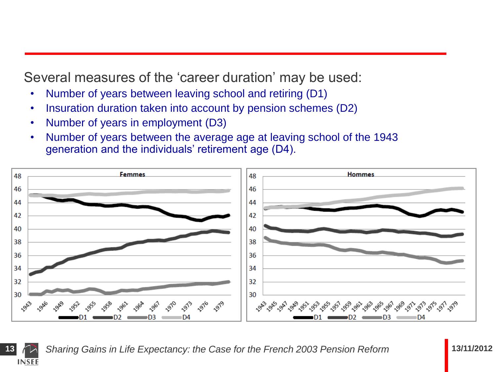Several measures of the 'career duration' may be used:

- Number of years between leaving school and retiring (D1)
- Insuration duration taken into account by pension schemes (D2)
- Number of years in employment (D3)
- Number of years between the average age at leaving school of the 1943 generation and the individuals' retirement age (D4).



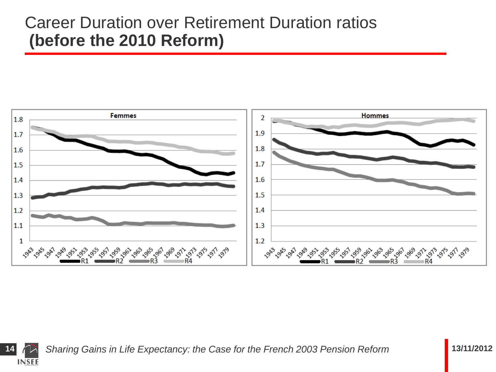#### Career Duration over Retirement Duration ratios **(before the 2010 Reform)**



**14** *Sharing Gains in Life Expectancy: the Case for the French 2003 Pension Reform* **13/11/2012**

**INSEE**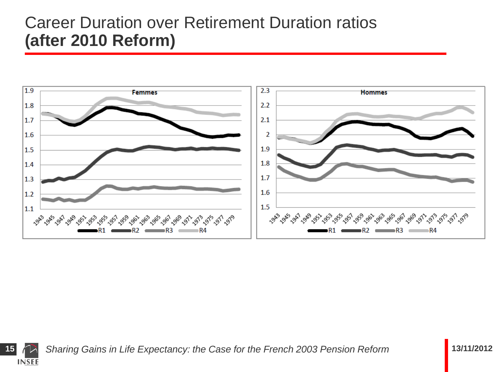#### Career Duration over Retirement Duration ratios **(after 2010 Reform)**



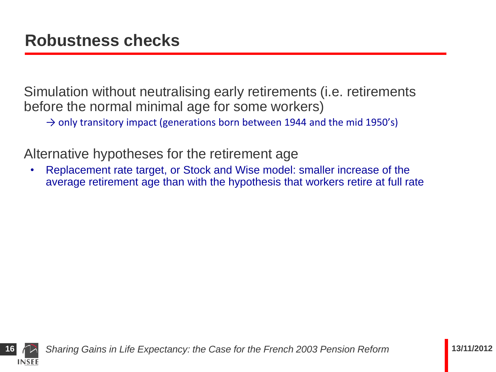Simulation without neutralising early retirements (i.e. retirements before the normal minimal age for some workers)

 $\rightarrow$  only transitory impact (generations born between 1944 and the mid 1950's)

Alternative hypotheses for the retirement age

• Replacement rate target, or Stock and Wise model: smaller increase of the average retirement age than with the hypothesis that workers retire at full rate